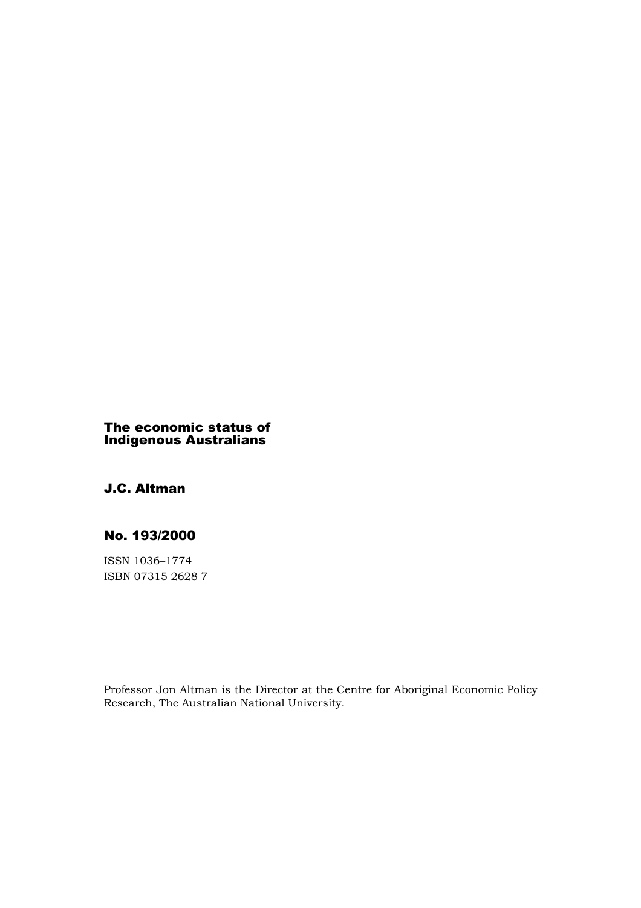# The economic status of Indigenous Australians

# J.C. Altman

# No. 193/2000

ISSN 1036–1774 ISBN 07315 2628 7

Professor Jon Altman is the Director at the Centre for Aboriginal Economic Policy Research, The Australian National University.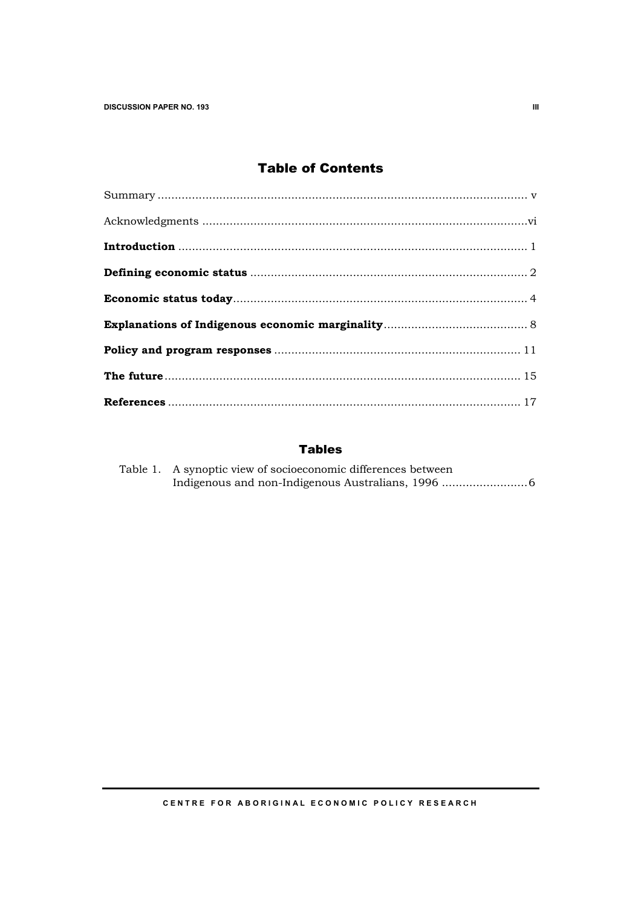# Table of Contents

# Tables

| Table 1. A synoptic view of socioeconomic differences between |
|---------------------------------------------------------------|
|                                                               |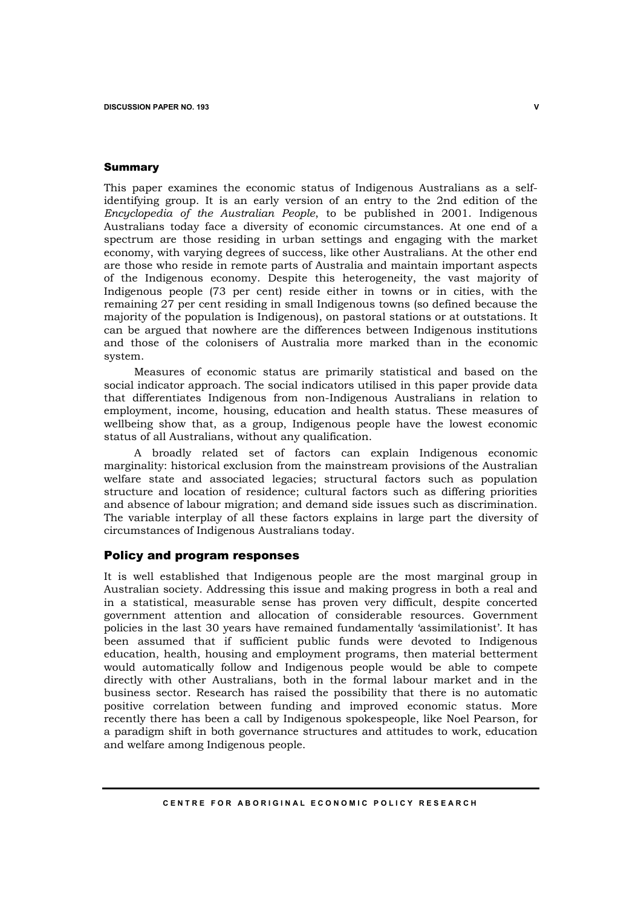### Summary

This paper examines the economic status of Indigenous Australians as a selfidentifying group. It is an early version of an entry to the 2nd edition of the *Encyclopedia of the Australian People*, to be published in 2001. Indigenous Australians today face a diversity of economic circumstances. At one end of a spectrum are those residing in urban settings and engaging with the market economy, with varying degrees of success, like other Australians. At the other end are those who reside in remote parts of Australia and maintain important aspects of the Indigenous economy. Despite this heterogeneity, the vast majority of Indigenous people (73 per cent) reside either in towns or in cities, with the remaining 27 per cent residing in small Indigenous towns (so defined because the majority of the population is Indigenous), on pastoral stations or at outstations. It can be argued that nowhere are the differences between Indigenous institutions and those of the colonisers of Australia more marked than in the economic system.

Measures of economic status are primarily statistical and based on the social indicator approach. The social indicators utilised in this paper provide data that differentiates Indigenous from non-Indigenous Australians in relation to employment, income, housing, education and health status. These measures of wellbeing show that, as a group, Indigenous people have the lowest economic status of all Australians, without any qualification.

A broadly related set of factors can explain Indigenous economic marginality: historical exclusion from the mainstream provisions of the Australian welfare state and associated legacies; structural factors such as population structure and location of residence; cultural factors such as differing priorities and absence of labour migration; and demand side issues such as discrimination. The variable interplay of all these factors explains in large part the diversity of circumstances of Indigenous Australians today.

## Policy and program responses

It is well established that Indigenous people are the most marginal group in Australian society. Addressing this issue and making progress in both a real and in a statistical, measurable sense has proven very difficult, despite concerted government attention and allocation of considerable resources. Government policies in the last 30 years have remained fundamentally 'assimilationist'. It has been assumed that if sufficient public funds were devoted to Indigenous education, health, housing and employment programs, then material betterment would automatically follow and Indigenous people would be able to compete directly with other Australians, both in the formal labour market and in the business sector. Research has raised the possibility that there is no automatic positive correlation between funding and improved economic status. More recently there has been a call by Indigenous spokespeople, like Noel Pearson, for a paradigm shift in both governance structures and attitudes to work, education and welfare among Indigenous people.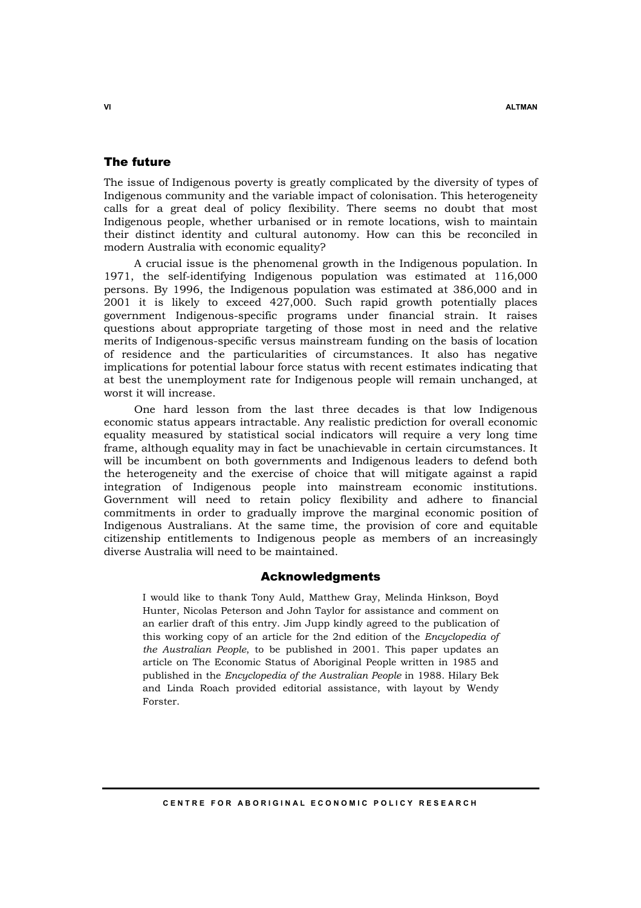# The future

The issue of Indigenous poverty is greatly complicated by the diversity of types of Indigenous community and the variable impact of colonisation. This heterogeneity calls for a great deal of policy flexibility. There seems no doubt that most Indigenous people, whether urbanised or in remote locations, wish to maintain their distinct identity and cultural autonomy. How can this be reconciled in modern Australia with economic equality?

A crucial issue is the phenomenal growth in the Indigenous population. In 1971, the self-identifying Indigenous population was estimated at 116,000 persons. By 1996, the Indigenous population was estimated at 386,000 and in 2001 it is likely to exceed 427,000. Such rapid growth potentially places government Indigenous-specific programs under financial strain. It raises questions about appropriate targeting of those most in need and the relative merits of Indigenous-specific versus mainstream funding on the basis of location of residence and the particularities of circumstances. It also has negative implications for potential labour force status with recent estimates indicating that at best the unemployment rate for Indigenous people will remain unchanged, at worst it will increase.

One hard lesson from the last three decades is that low Indigenous economic status appears intractable. Any realistic prediction for overall economic equality measured by statistical social indicators will require a very long time frame, although equality may in fact be unachievable in certain circumstances. It will be incumbent on both governments and Indigenous leaders to defend both the heterogeneity and the exercise of choice that will mitigate against a rapid integration of Indigenous people into mainstream economic institutions. Government will need to retain policy flexibility and adhere to financial commitments in order to gradually improve the marginal economic position of Indigenous Australians. At the same time, the provision of core and equitable citizenship entitlements to Indigenous people as members of an increasingly diverse Australia will need to be maintained.

# Acknowledgments

I would like to thank Tony Auld, Matthew Gray, Melinda Hinkson, Boyd Hunter, Nicolas Peterson and John Taylor for assistance and comment on an earlier draft of this entry. Jim Jupp kindly agreed to the publication of this working copy of an article for the 2nd edition of the *Encyclopedia of the Australian People*, to be published in 2001. This paper updates an article on The Economic Status of Aboriginal People written in 1985 and published in the *Encyclopedia of the Australian People* in 1988. Hilary Bek and Linda Roach provided editorial assistance, with layout by Wendy Forster.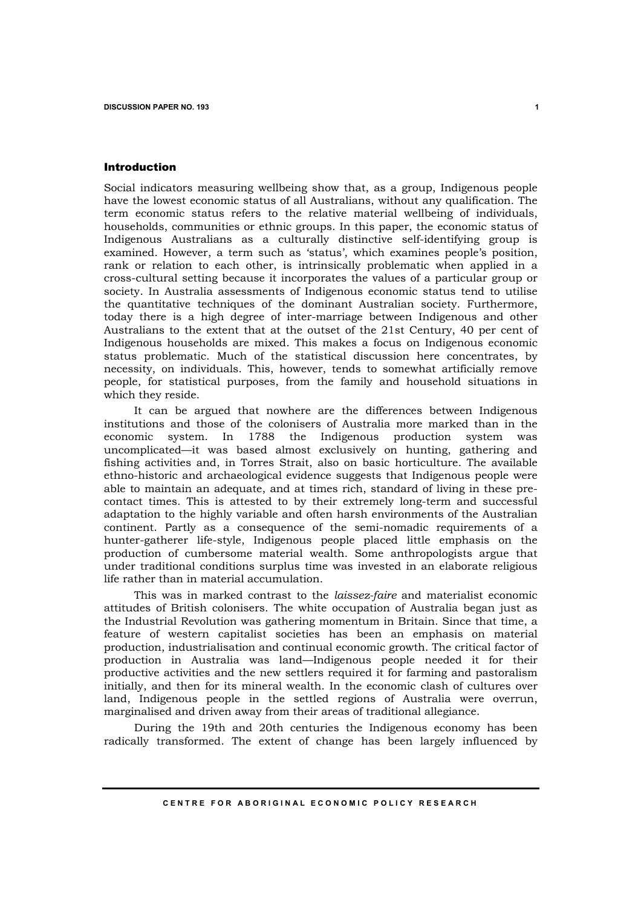### Introduction

Social indicators measuring wellbeing show that, as a group, Indigenous people have the lowest economic status of all Australians, without any qualification. The term economic status refers to the relative material wellbeing of individuals, households, communities or ethnic groups. In this paper, the economic status of Indigenous Australians as a culturally distinctive self-identifying group is examined. However, a term such as 'status', which examines people's position, rank or relation to each other, is intrinsically problematic when applied in a cross-cultural setting because it incorporates the values of a particular group or society. In Australia assessments of Indigenous economic status tend to utilise the quantitative techniques of the dominant Australian society. Furthermore, today there is a high degree of inter-marriage between Indigenous and other Australians to the extent that at the outset of the 21st Century, 40 per cent of Indigenous households are mixed. This makes a focus on Indigenous economic status problematic. Much of the statistical discussion here concentrates, by necessity, on individuals. This, however, tends to somewhat artificially remove people, for statistical purposes, from the family and household situations in which they reside.

It can be argued that nowhere are the differences between Indigenous institutions and those of the colonisers of Australia more marked than in the economic system. In 1788 the Indigenous production system was uncomplicated—it was based almost exclusively on hunting, gathering and fishing activities and, in Torres Strait, also on basic horticulture. The available ethno-historic and archaeological evidence suggests that Indigenous people were able to maintain an adequate, and at times rich, standard of living in these precontact times. This is attested to by their extremely long-term and successful adaptation to the highly variable and often harsh environments of the Australian continent. Partly as a consequence of the semi-nomadic requirements of a hunter-gatherer life-style, Indigenous people placed little emphasis on the production of cumbersome material wealth. Some anthropologists argue that under traditional conditions surplus time was invested in an elaborate religious life rather than in material accumulation.

This was in marked contrast to the *laissez-faire* and materialist economic attitudes of British colonisers. The white occupation of Australia began just as the Industrial Revolution was gathering momentum in Britain. Since that time, a feature of western capitalist societies has been an emphasis on material production, industrialisation and continual economic growth. The critical factor of production in Australia was land—Indigenous people needed it for their productive activities and the new settlers required it for farming and pastoralism initially, and then for its mineral wealth. In the economic clash of cultures over land, Indigenous people in the settled regions of Australia were overrun, marginalised and driven away from their areas of traditional allegiance.

During the 19th and 20th centuries the Indigenous economy has been radically transformed. The extent of change has been largely influenced by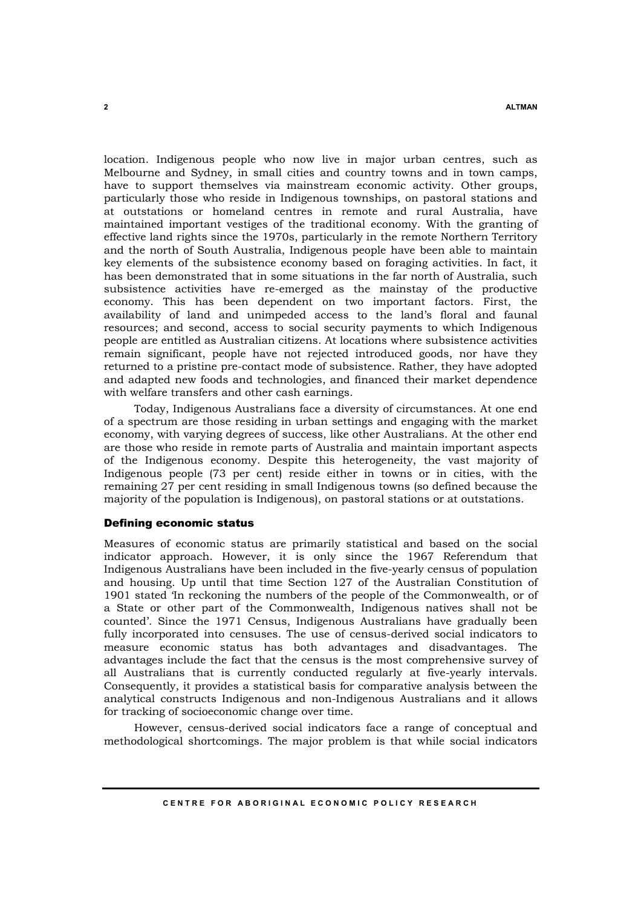location. Indigenous people who now live in major urban centres, such as Melbourne and Sydney, in small cities and country towns and in town camps, have to support themselves via mainstream economic activity. Other groups, particularly those who reside in Indigenous townships, on pastoral stations and at outstations or homeland centres in remote and rural Australia, have maintained important vestiges of the traditional economy. With the granting of effective land rights since the 1970s, particularly in the remote Northern Territory and the north of South Australia, Indigenous people have been able to maintain key elements of the subsistence economy based on foraging activities. In fact, it has been demonstrated that in some situations in the far north of Australia, such subsistence activities have re-emerged as the mainstay of the productive economy. This has been dependent on two important factors. First, the availability of land and unimpeded access to the land's floral and faunal resources; and second, access to social security payments to which Indigenous people are entitled as Australian citizens. At locations where subsistence activities remain significant, people have not rejected introduced goods, nor have they returned to a pristine pre-contact mode of subsistence. Rather, they have adopted and adapted new foods and technologies, and financed their market dependence with welfare transfers and other cash earnings.

Today, Indigenous Australians face a diversity of circumstances. At one end of a spectrum are those residing in urban settings and engaging with the market economy, with varying degrees of success, like other Australians. At the other end are those who reside in remote parts of Australia and maintain important aspects of the Indigenous economy. Despite this heterogeneity, the vast majority of Indigenous people (73 per cent) reside either in towns or in cities, with the remaining 27 per cent residing in small Indigenous towns (so defined because the majority of the population is Indigenous), on pastoral stations or at outstations.

### Defining economic status

Measures of economic status are primarily statistical and based on the social indicator approach. However, it is only since the 1967 Referendum that Indigenous Australians have been included in the five-yearly census of population and housing. Up until that time Section 127 of the Australian Constitution of 1901 stated 'In reckoning the numbers of the people of the Commonwealth, or of a State or other part of the Commonwealth, Indigenous natives shall not be counted'. Since the 1971 Census, Indigenous Australians have gradually been fully incorporated into censuses. The use of census-derived social indicators to measure economic status has both advantages and disadvantages. The advantages include the fact that the census is the most comprehensive survey of all Australians that is currently conducted regularly at five-yearly intervals. Consequently, it provides a statistical basis for comparative analysis between the analytical constructs Indigenous and non-Indigenous Australians and it allows for tracking of socioeconomic change over time.

However, census-derived social indicators face a range of conceptual and methodological shortcomings. The major problem is that while social indicators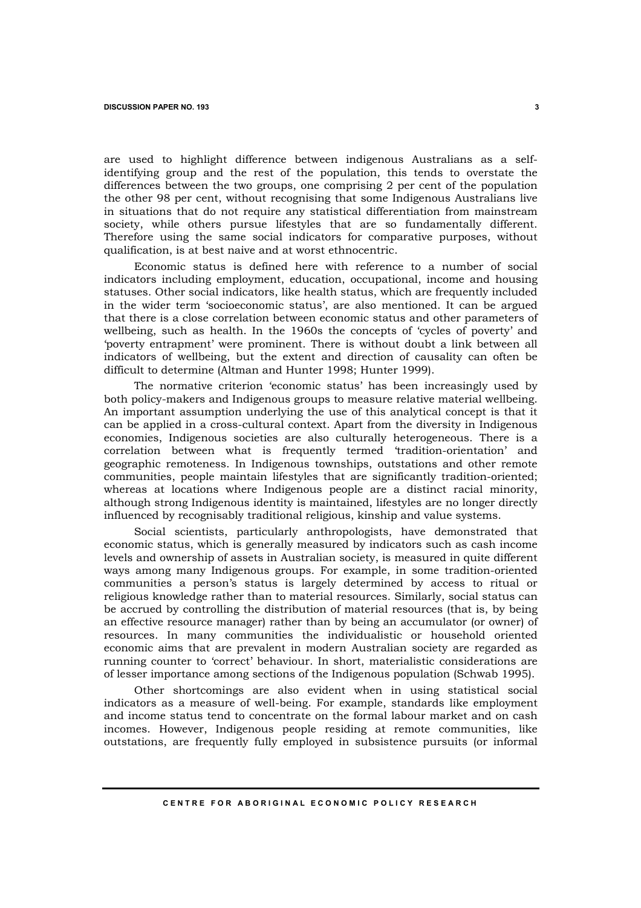are used to highlight difference between indigenous Australians as a selfidentifying group and the rest of the population, this tends to overstate the differences between the two groups, one comprising 2 per cent of the population the other 98 per cent, without recognising that some Indigenous Australians live in situations that do not require any statistical differentiation from mainstream society, while others pursue lifestyles that are so fundamentally different. Therefore using the same social indicators for comparative purposes, without qualification, is at best naive and at worst ethnocentric.

Economic status is defined here with reference to a number of social indicators including employment, education, occupational, income and housing statuses. Other social indicators, like health status, which are frequently included in the wider term 'socioeconomic status', are also mentioned. It can be argued that there is a close correlation between economic status and other parameters of wellbeing, such as health. In the 1960s the concepts of 'cycles of poverty' and 'poverty entrapment' were prominent. There is without doubt a link between all indicators of wellbeing, but the extent and direction of causality can often be difficult to determine (Altman and Hunter 1998; Hunter 1999).

The normative criterion 'economic status' has been increasingly used by both policy-makers and Indigenous groups to measure relative material wellbeing. An important assumption underlying the use of this analytical concept is that it can be applied in a cross-cultural context. Apart from the diversity in Indigenous economies, Indigenous societies are also culturally heterogeneous. There is a correlation between what is frequently termed 'tradition-orientation' and geographic remoteness. In Indigenous townships, outstations and other remote communities, people maintain lifestyles that are significantly tradition-oriented; whereas at locations where Indigenous people are a distinct racial minority, although strong Indigenous identity is maintained, lifestyles are no longer directly influenced by recognisably traditional religious, kinship and value systems.

Social scientists, particularly anthropologists, have demonstrated that economic status, which is generally measured by indicators such as cash income levels and ownership of assets in Australian society, is measured in quite different ways among many Indigenous groups. For example, in some tradition-oriented communities a person's status is largely determined by access to ritual or religious knowledge rather than to material resources. Similarly, social status can be accrued by controlling the distribution of material resources (that is, by being an effective resource manager) rather than by being an accumulator (or owner) of resources. In many communities the individualistic or household oriented economic aims that are prevalent in modern Australian society are regarded as running counter to 'correct' behaviour. In short, materialistic considerations are of lesser importance among sections of the Indigenous population (Schwab 1995).

Other shortcomings are also evident when in using statistical social indicators as a measure of well-being. For example, standards like employment and income status tend to concentrate on the formal labour market and on cash incomes. However, Indigenous people residing at remote communities, like outstations, are frequently fully employed in subsistence pursuits (or informal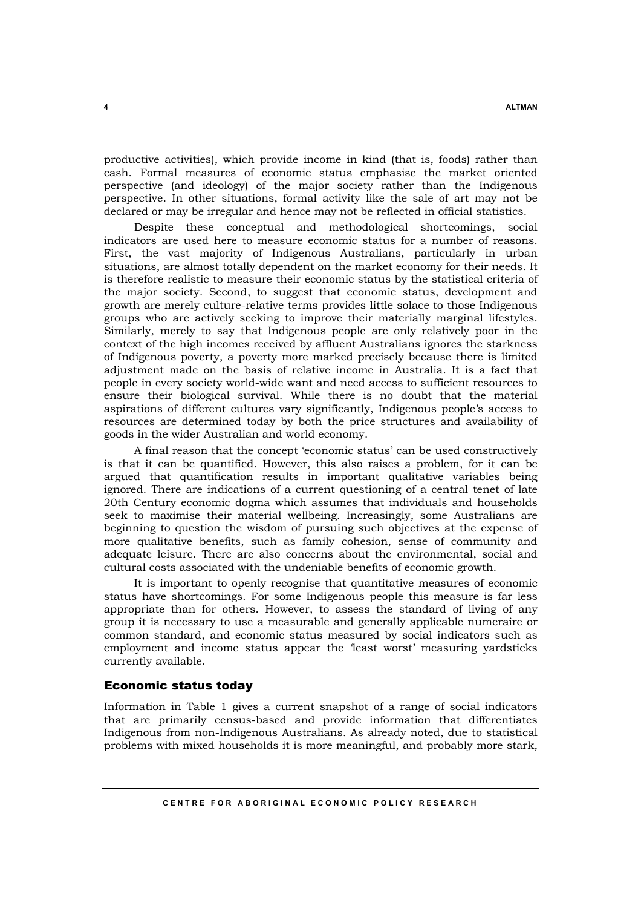productive activities), which provide income in kind (that is, foods) rather than cash. Formal measures of economic status emphasise the market oriented perspective (and ideology) of the major society rather than the Indigenous perspective. In other situations, formal activity like the sale of art may not be declared or may be irregular and hence may not be reflected in official statistics.

Despite these conceptual and methodological shortcomings, social indicators are used here to measure economic status for a number of reasons. First, the vast majority of Indigenous Australians, particularly in urban situations, are almost totally dependent on the market economy for their needs. It is therefore realistic to measure their economic status by the statistical criteria of the major society. Second, to suggest that economic status, development and growth are merely culture-relative terms provides little solace to those Indigenous groups who are actively seeking to improve their materially marginal lifestyles. Similarly, merely to say that Indigenous people are only relatively poor in the context of the high incomes received by affluent Australians ignores the starkness of Indigenous poverty, a poverty more marked precisely because there is limited adjustment made on the basis of relative income in Australia. It is a fact that people in every society world-wide want and need access to sufficient resources to ensure their biological survival. While there is no doubt that the material aspirations of different cultures vary significantly, Indigenous people's access to resources are determined today by both the price structures and availability of goods in the wider Australian and world economy.

A final reason that the concept 'economic status' can be used constructively is that it can be quantified. However, this also raises a problem, for it can be argued that quantification results in important qualitative variables being ignored. There are indications of a current questioning of a central tenet of late 20th Century economic dogma which assumes that individuals and households seek to maximise their material wellbeing. Increasingly, some Australians are beginning to question the wisdom of pursuing such objectives at the expense of more qualitative benefits, such as family cohesion, sense of community and adequate leisure. There are also concerns about the environmental, social and cultural costs associated with the undeniable benefits of economic growth.

It is important to openly recognise that quantitative measures of economic status have shortcomings. For some Indigenous people this measure is far less appropriate than for others. However, to assess the standard of living of any group it is necessary to use a measurable and generally applicable numeraire or common standard, and economic status measured by social indicators such as employment and income status appear the 'least worst' measuring yardsticks currently available.

# Economic status today

Information in Table 1 gives a current snapshot of a range of social indicators that are primarily census-based and provide information that differentiates Indigenous from non-Indigenous Australians. As already noted, due to statistical problems with mixed households it is more meaningful, and probably more stark,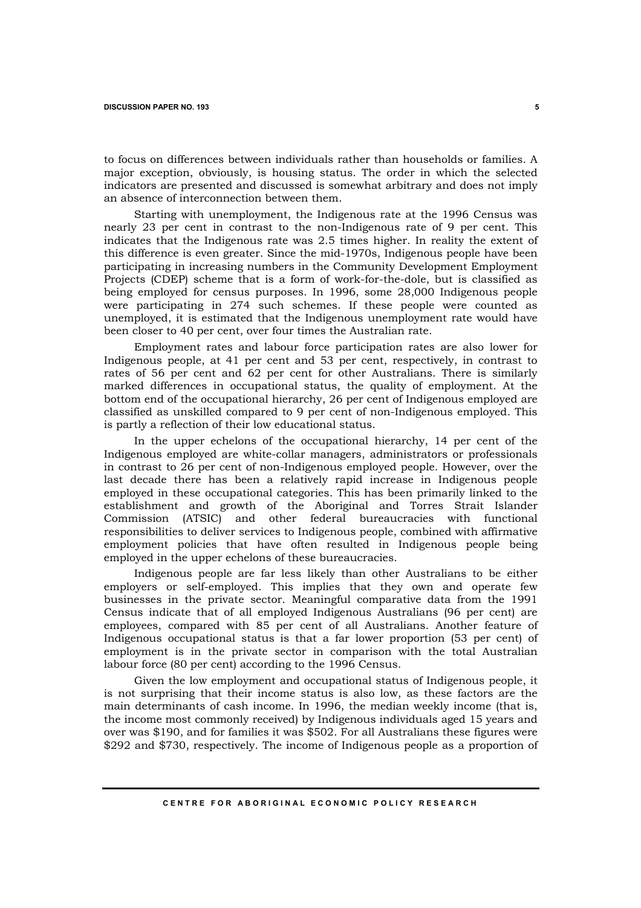to focus on differences between individuals rather than households or families. A major exception, obviously, is housing status. The order in which the selected indicators are presented and discussed is somewhat arbitrary and does not imply an absence of interconnection between them.

Starting with unemployment, the Indigenous rate at the 1996 Census was nearly 23 per cent in contrast to the non-Indigenous rate of 9 per cent. This indicates that the Indigenous rate was 2.5 times higher. In reality the extent of this difference is even greater. Since the mid-1970s, Indigenous people have been participating in increasing numbers in the Community Development Employment Projects (CDEP) scheme that is a form of work-for-the-dole, but is classified as being employed for census purposes. In 1996, some 28,000 Indigenous people were participating in 274 such schemes. If these people were counted as unemployed, it is estimated that the Indigenous unemployment rate would have been closer to 40 per cent, over four times the Australian rate.

Employment rates and labour force participation rates are also lower for Indigenous people, at 41 per cent and 53 per cent, respectively, in contrast to rates of 56 per cent and 62 per cent for other Australians. There is similarly marked differences in occupational status, the quality of employment. At the bottom end of the occupational hierarchy, 26 per cent of Indigenous employed are classified as unskilled compared to 9 per cent of non-Indigenous employed. This is partly a reflection of their low educational status.

In the upper echelons of the occupational hierarchy, 14 per cent of the Indigenous employed are white-collar managers, administrators or professionals in contrast to 26 per cent of non-Indigenous employed people. However, over the last decade there has been a relatively rapid increase in Indigenous people employed in these occupational categories. This has been primarily linked to the establishment and growth of the Aboriginal and Torres Strait Islander Commission (ATSIC) and other federal bureaucracies with functional responsibilities to deliver services to Indigenous people, combined with affirmative employment policies that have often resulted in Indigenous people being employed in the upper echelons of these bureaucracies.

Indigenous people are far less likely than other Australians to be either employers or self-employed. This implies that they own and operate few businesses in the private sector. Meaningful comparative data from the 1991 Census indicate that of all employed Indigenous Australians (96 per cent) are employees, compared with 85 per cent of all Australians. Another feature of Indigenous occupational status is that a far lower proportion (53 per cent) of employment is in the private sector in comparison with the total Australian labour force (80 per cent) according to the 1996 Census.

Given the low employment and occupational status of Indigenous people, it is not surprising that their income status is also low, as these factors are the main determinants of cash income. In 1996, the median weekly income (that is, the income most commonly received) by Indigenous individuals aged 15 years and over was \$190, and for families it was \$502. For all Australians these figures were \$292 and \$730, respectively. The income of Indigenous people as a proportion of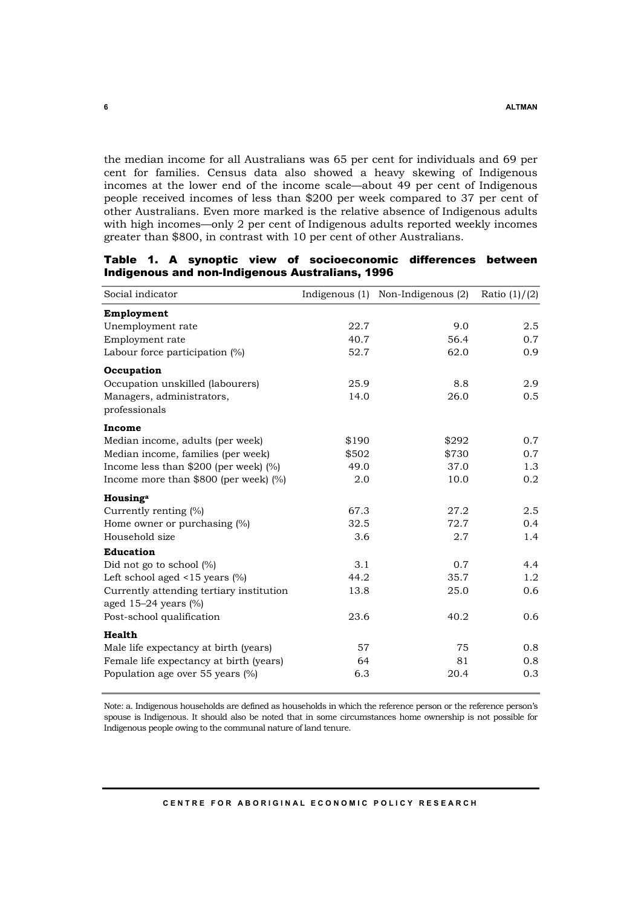the median income for all Australians was 65 per cent for individuals and 69 per cent for families. Census data also showed a heavy skewing of Indigenous incomes at the lower end of the income scale—about 49 per cent of Indigenous people received incomes of less than \$200 per week compared to 37 per cent of other Australians. Even more marked is the relative absence of Indigenous adults with high incomes—only 2 per cent of Indigenous adults reported weekly incomes greater than \$800, in contrast with 10 per cent of other Australians.

| Social indicator                           |       | Indigenous (1) Non-Indigenous (2) | Ratio $(1)/(2)$ |
|--------------------------------------------|-------|-----------------------------------|-----------------|
| Employment                                 |       |                                   |                 |
| Unemployment rate                          | 22.7  | 9.0                               | 2.5             |
| Employment rate                            | 40.7  | 56.4                              | 0.7             |
| Labour force participation $(\%)$          | 52.7  | 62.0                              | 0.9             |
| Occupation                                 |       |                                   |                 |
| Occupation unskilled (labourers)           | 25.9  | 8.8                               | 2.9             |
| Managers, administrators,<br>professionals | 14.0  | 26.0                              | 0.5             |
| Income                                     |       |                                   |                 |
| Median income, adults (per week)           | \$190 | \$292                             | 0.7             |
| Median income, families (per week)         | \$502 | \$730                             | 0.7             |
| Income less than $$200$ (per week) (%)     | 49.0  | 37.0                              | 1.3             |
| Income more than $$800$ (per week) (%)     | 2.0   | 10.0                              | 0.2             |
| Housinga                                   |       |                                   |                 |
| Currently renting (%)                      | 67.3  | 27.2                              | 2.5             |
| Home owner or purchasing (%)               | 32.5  | 72.7                              | 0.4             |
| Household size                             | 3.6   | 2.7                               | 1.4             |
| <b>Education</b>                           |       |                                   |                 |
| Did not go to school $(\%)$                | 3.1   | 0.7                               | 4.4             |
| Left school aged $<15$ years $(\%)$        | 44.2  | 35.7                              | $1.2\,$         |
| Currently attending tertiary institution   | 13.8  | 25.0                              | 0.6             |
| aged $15-24$ years $(\%)$                  |       |                                   |                 |
| Post-school qualification                  | 23.6  | 40.2                              | 0.6             |
| Health                                     |       |                                   |                 |
| Male life expectancy at birth (years)      | 57    | 75                                | 0.8             |
| Female life expectancy at birth (years)    | 64    | 81                                | 0.8             |
| Population age over 55 years (%)           | 6.3   | 20.4                              | 0.3             |

Table 1. A synoptic view of socioeconomic differences between Indigenous and non-Indigenous Australians, 1996

Note: a. Indigenous households are defined as households in which the reference person or the reference person's spouse is Indigenous. It should also be noted that in some circumstances home ownership is not possible for Indigenous people owing to the communal nature of land tenure.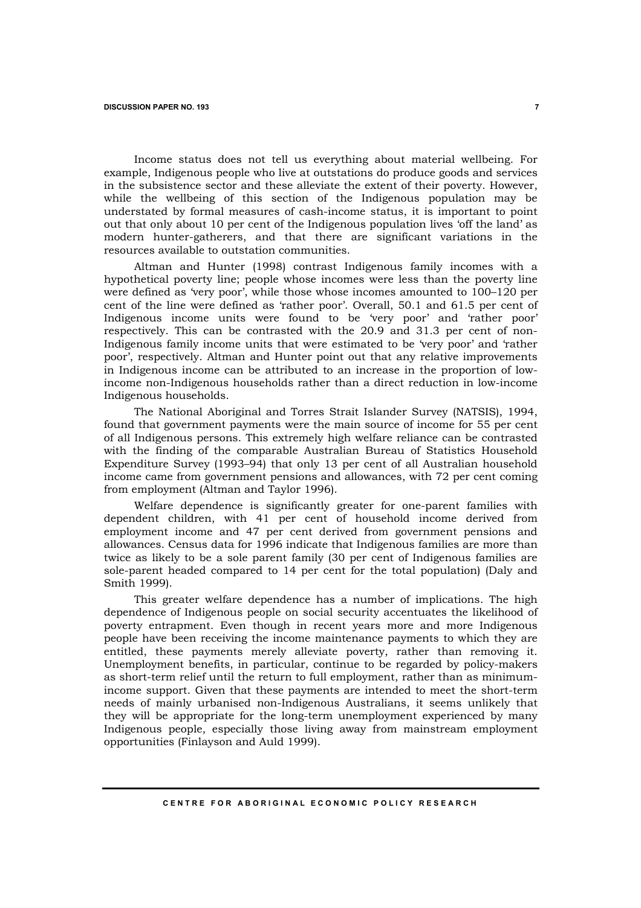Income status does not tell us everything about material wellbeing. For example, Indigenous people who live at outstations do produce goods and services in the subsistence sector and these alleviate the extent of their poverty. However, while the wellbeing of this section of the Indigenous population may be understated by formal measures of cash-income status, it is important to point out that only about 10 per cent of the Indigenous population lives 'off the land' as modern hunter-gatherers, and that there are significant variations in the resources available to outstation communities.

Altman and Hunter (1998) contrast Indigenous family incomes with a hypothetical poverty line; people whose incomes were less than the poverty line were defined as 'very poor', while those whose incomes amounted to 100–120 per cent of the line were defined as 'rather poor'. Overall, 50.1 and 61.5 per cent of Indigenous income units were found to be 'very poor' and 'rather poor' respectively. This can be contrasted with the 20.9 and 31.3 per cent of non-Indigenous family income units that were estimated to be 'very poor' and 'rather poor', respectively. Altman and Hunter point out that any relative improvements in Indigenous income can be attributed to an increase in the proportion of lowincome non-Indigenous households rather than a direct reduction in low-income Indigenous households.

The National Aboriginal and Torres Strait Islander Survey (NATSIS), 1994, found that government payments were the main source of income for 55 per cent of all Indigenous persons. This extremely high welfare reliance can be contrasted with the finding of the comparable Australian Bureau of Statistics Household Expenditure Survey (1993–94) that only 13 per cent of all Australian household income came from government pensions and allowances, with 72 per cent coming from employment (Altman and Taylor 1996).

Welfare dependence is significantly greater for one-parent families with dependent children, with 41 per cent of household income derived from employment income and 47 per cent derived from government pensions and allowances. Census data for 1996 indicate that Indigenous families are more than twice as likely to be a sole parent family (30 per cent of Indigenous families are sole-parent headed compared to 14 per cent for the total population) (Daly and Smith 1999).

This greater welfare dependence has a number of implications. The high dependence of Indigenous people on social security accentuates the likelihood of poverty entrapment. Even though in recent years more and more Indigenous people have been receiving the income maintenance payments to which they are entitled, these payments merely alleviate poverty, rather than removing it. Unemployment benefits, in particular, continue to be regarded by policy-makers as short-term relief until the return to full employment, rather than as minimumincome support. Given that these payments are intended to meet the short-term needs of mainly urbanised non-Indigenous Australians, it seems unlikely that they will be appropriate for the long-term unemployment experienced by many Indigenous people, especially those living away from mainstream employment opportunities (Finlayson and Auld 1999).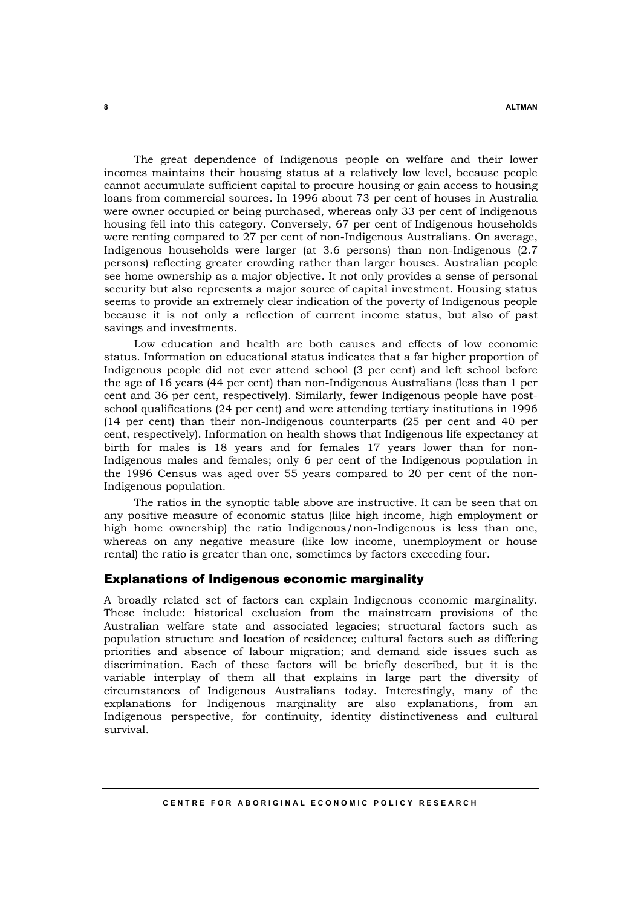The great dependence of Indigenous people on welfare and their lower incomes maintains their housing status at a relatively low level, because people cannot accumulate sufficient capital to procure housing or gain access to housing loans from commercial sources. In 1996 about 73 per cent of houses in Australia were owner occupied or being purchased, whereas only 33 per cent of Indigenous housing fell into this category. Conversely, 67 per cent of Indigenous households were renting compared to 27 per cent of non-Indigenous Australians. On average, Indigenous households were larger (at 3.6 persons) than non-Indigenous (2.7 persons) reflecting greater crowding rather than larger houses. Australian people see home ownership as a major objective. It not only provides a sense of personal security but also represents a major source of capital investment. Housing status seems to provide an extremely clear indication of the poverty of Indigenous people because it is not only a reflection of current income status, but also of past savings and investments.

Low education and health are both causes and effects of low economic status. Information on educational status indicates that a far higher proportion of Indigenous people did not ever attend school (3 per cent) and left school before the age of 16 years (44 per cent) than non-Indigenous Australians (less than 1 per cent and 36 per cent, respectively). Similarly, fewer Indigenous people have postschool qualifications (24 per cent) and were attending tertiary institutions in 1996 (14 per cent) than their non-Indigenous counterparts (25 per cent and 40 per cent, respectively). Information on health shows that Indigenous life expectancy at birth for males is 18 years and for females 17 years lower than for non-Indigenous males and females; only 6 per cent of the Indigenous population in the 1996 Census was aged over 55 years compared to 20 per cent of the non-Indigenous population.

The ratios in the synoptic table above are instructive. It can be seen that on any positive measure of economic status (like high income, high employment or high home ownership) the ratio Indigenous/non-Indigenous is less than one, whereas on any negative measure (like low income, unemployment or house rental) the ratio is greater than one, sometimes by factors exceeding four.

### Explanations of Indigenous economic marginality

A broadly related set of factors can explain Indigenous economic marginality. These include: historical exclusion from the mainstream provisions of the Australian welfare state and associated legacies; structural factors such as population structure and location of residence; cultural factors such as differing priorities and absence of labour migration; and demand side issues such as discrimination. Each of these factors will be briefly described, but it is the variable interplay of them all that explains in large part the diversity of circumstances of Indigenous Australians today. Interestingly, many of the explanations for Indigenous marginality are also explanations, from an Indigenous perspective, for continuity, identity distinctiveness and cultural survival.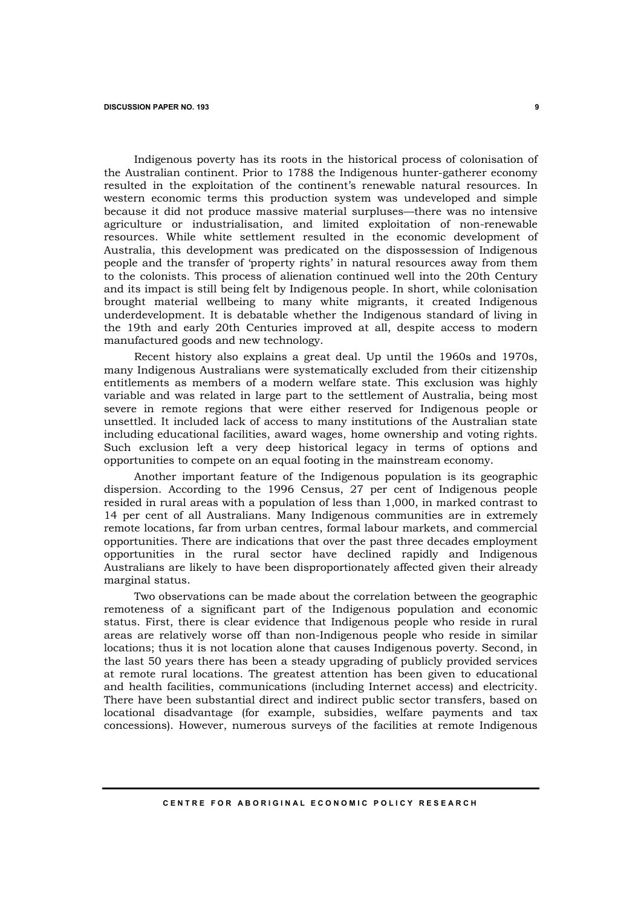Indigenous poverty has its roots in the historical process of colonisation of the Australian continent. Prior to 1788 the Indigenous hunter-gatherer economy resulted in the exploitation of the continent's renewable natural resources. In western economic terms this production system was undeveloped and simple because it did not produce massive material surpluses—there was no intensive agriculture or industrialisation, and limited exploitation of non-renewable resources. While white settlement resulted in the economic development of Australia, this development was predicated on the dispossession of Indigenous people and the transfer of 'property rights' in natural resources away from them to the colonists. This process of alienation continued well into the 20th Century and its impact is still being felt by Indigenous people. In short, while colonisation brought material wellbeing to many white migrants, it created Indigenous underdevelopment. It is debatable whether the Indigenous standard of living in the 19th and early 20th Centuries improved at all, despite access to modern manufactured goods and new technology.

Recent history also explains a great deal. Up until the 1960s and 1970s, many Indigenous Australians were systematically excluded from their citizenship entitlements as members of a modern welfare state. This exclusion was highly variable and was related in large part to the settlement of Australia, being most severe in remote regions that were either reserved for Indigenous people or unsettled. It included lack of access to many institutions of the Australian state including educational facilities, award wages, home ownership and voting rights. Such exclusion left a very deep historical legacy in terms of options and opportunities to compete on an equal footing in the mainstream economy.

Another important feature of the Indigenous population is its geographic dispersion. According to the 1996 Census, 27 per cent of Indigenous people resided in rural areas with a population of less than 1,000, in marked contrast to 14 per cent of all Australians. Many Indigenous communities are in extremely remote locations, far from urban centres, formal labour markets, and commercial opportunities. There are indications that over the past three decades employment opportunities in the rural sector have declined rapidly and Indigenous Australians are likely to have been disproportionately affected given their already marginal status.

Two observations can be made about the correlation between the geographic remoteness of a significant part of the Indigenous population and economic status. First, there is clear evidence that Indigenous people who reside in rural areas are relatively worse off than non-Indigenous people who reside in similar locations; thus it is not location alone that causes Indigenous poverty. Second, in the last 50 years there has been a steady upgrading of publicly provided services at remote rural locations. The greatest attention has been given to educational and health facilities, communications (including Internet access) and electricity. There have been substantial direct and indirect public sector transfers, based on locational disadvantage (for example, subsidies, welfare payments and tax concessions). However, numerous surveys of the facilities at remote Indigenous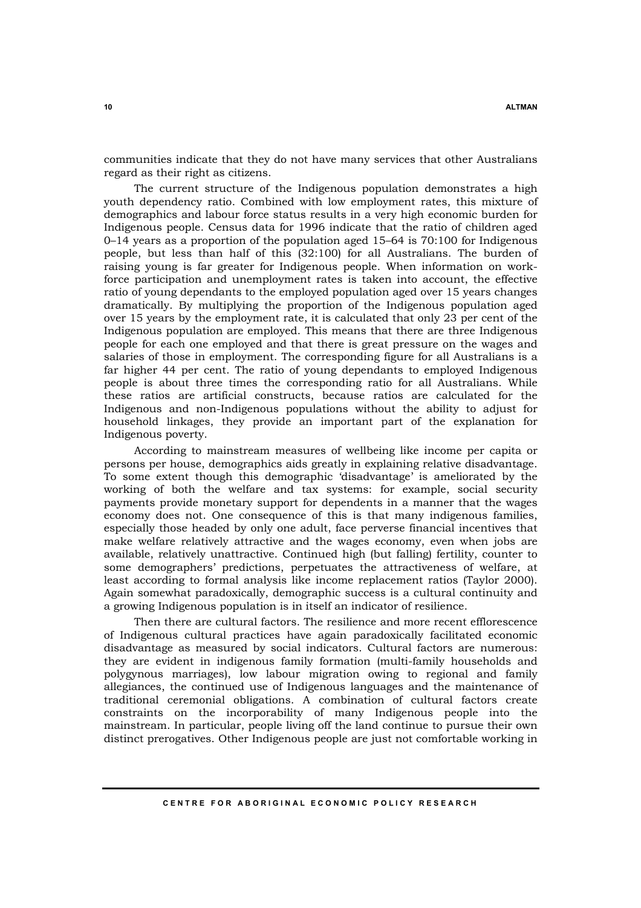communities indicate that they do not have many services that other Australians regard as their right as citizens.

The current structure of the Indigenous population demonstrates a high youth dependency ratio. Combined with low employment rates, this mixture of demographics and labour force status results in a very high economic burden for Indigenous people. Census data for 1996 indicate that the ratio of children aged 0–14 years as a proportion of the population aged 15–64 is 70:100 for Indigenous people, but less than half of this (32:100) for all Australians. The burden of raising young is far greater for Indigenous people. When information on workforce participation and unemployment rates is taken into account, the effective ratio of young dependants to the employed population aged over 15 years changes dramatically. By multiplying the proportion of the Indigenous population aged over 15 years by the employment rate, it is calculated that only 23 per cent of the Indigenous population are employed. This means that there are three Indigenous people for each one employed and that there is great pressure on the wages and salaries of those in employment. The corresponding figure for all Australians is a far higher 44 per cent. The ratio of young dependants to employed Indigenous people is about three times the corresponding ratio for all Australians. While these ratios are artificial constructs, because ratios are calculated for the Indigenous and non-Indigenous populations without the ability to adjust for household linkages, they provide an important part of the explanation for Indigenous poverty.

According to mainstream measures of wellbeing like income per capita or persons per house, demographics aids greatly in explaining relative disadvantage. To some extent though this demographic 'disadvantage' is ameliorated by the working of both the welfare and tax systems: for example, social security payments provide monetary support for dependents in a manner that the wages economy does not. One consequence of this is that many indigenous families, especially those headed by only one adult, face perverse financial incentives that make welfare relatively attractive and the wages economy, even when jobs are available, relatively unattractive. Continued high (but falling) fertility, counter to some demographers' predictions, perpetuates the attractiveness of welfare, at least according to formal analysis like income replacement ratios (Taylor 2000). Again somewhat paradoxically, demographic success is a cultural continuity and a growing Indigenous population is in itself an indicator of resilience.

Then there are cultural factors. The resilience and more recent efflorescence of Indigenous cultural practices have again paradoxically facilitated economic disadvantage as measured by social indicators. Cultural factors are numerous: they are evident in indigenous family formation (multi-family households and polygynous marriages), low labour migration owing to regional and family allegiances, the continued use of Indigenous languages and the maintenance of traditional ceremonial obligations. A combination of cultural factors create constraints on the incorporability of many Indigenous people into the mainstream. In particular, people living off the land continue to pursue their own distinct prerogatives. Other Indigenous people are just not comfortable working in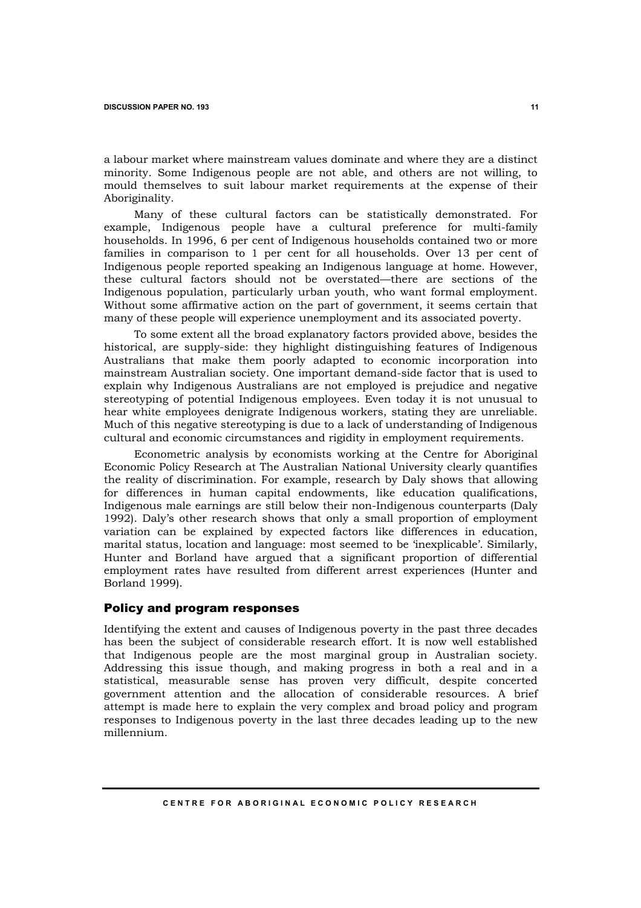a labour market where mainstream values dominate and where they are a distinct minority. Some Indigenous people are not able, and others are not willing, to mould themselves to suit labour market requirements at the expense of their Aboriginality.

Many of these cultural factors can be statistically demonstrated. For example, Indigenous people have a cultural preference for multi-family households. In 1996, 6 per cent of Indigenous households contained two or more families in comparison to 1 per cent for all households. Over 13 per cent of Indigenous people reported speaking an Indigenous language at home. However, these cultural factors should not be overstated—there are sections of the Indigenous population, particularly urban youth, who want formal employment. Without some affirmative action on the part of government, it seems certain that many of these people will experience unemployment and its associated poverty.

To some extent all the broad explanatory factors provided above, besides the historical, are supply-side: they highlight distinguishing features of Indigenous Australians that make them poorly adapted to economic incorporation into mainstream Australian society. One important demand-side factor that is used to explain why Indigenous Australians are not employed is prejudice and negative stereotyping of potential Indigenous employees. Even today it is not unusual to hear white employees denigrate Indigenous workers, stating they are unreliable. Much of this negative stereotyping is due to a lack of understanding of Indigenous cultural and economic circumstances and rigidity in employment requirements.

Econometric analysis by economists working at the Centre for Aboriginal Economic Policy Research at The Australian National University clearly quantifies the reality of discrimination. For example, research by Daly shows that allowing for differences in human capital endowments, like education qualifications, Indigenous male earnings are still below their non-Indigenous counterparts (Daly 1992). Daly's other research shows that only a small proportion of employment variation can be explained by expected factors like differences in education, marital status, location and language: most seemed to be 'inexplicable'. Similarly, Hunter and Borland have argued that a significant proportion of differential employment rates have resulted from different arrest experiences (Hunter and Borland 1999).

# Policy and program responses

Identifying the extent and causes of Indigenous poverty in the past three decades has been the subject of considerable research effort. It is now well established that Indigenous people are the most marginal group in Australian society. Addressing this issue though, and making progress in both a real and in a statistical, measurable sense has proven very difficult, despite concerted government attention and the allocation of considerable resources. A brief attempt is made here to explain the very complex and broad policy and program responses to Indigenous poverty in the last three decades leading up to the new millennium.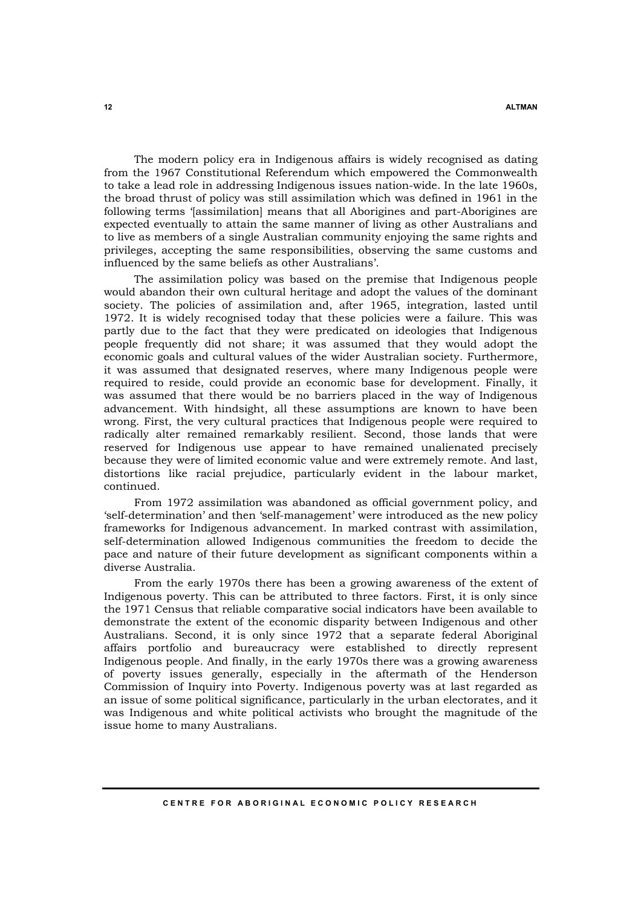The modern policy era in Indigenous affairs is widely recognised as dating from the 1967 Constitutional Referendum which empowered the Commonwealth to take a lead role in addressing Indigenous issues nation-wide. In the late 1960s, the broad thrust of policy was still assimilation which was defined in 1961 in the following terms '[assimilation] means that all Aborigines and part-Aborigines are expected eventually to attain the same manner of living as other Australians and to live as members of a single Australian community enjoying the same rights and privileges, accepting the same responsibilities, observing the same customs and influenced by the same beliefs as other Australians'.

The assimilation policy was based on the premise that Indigenous people would abandon their own cultural heritage and adopt the values of the dominant society. The policies of assimilation and, after 1965, integration, lasted until 1972. It is widely recognised today that these policies were a failure. This was partly due to the fact that they were predicated on ideologies that Indigenous people frequently did not share; it was assumed that they would adopt the economic goals and cultural values of the wider Australian society. Furthermore, it was assumed that designated reserves, where many Indigenous people were required to reside, could provide an economic base for development. Finally, it was assumed that there would be no barriers placed in the way of Indigenous advancement. With hindsight, all these assumptions are known to have been wrong. First, the very cultural practices that Indigenous people were required to radically alter remained remarkably resilient. Second, those lands that were reserved for Indigenous use appear to have remained unalienated precisely because they were of limited economic value and were extremely remote. And last, distortions like racial prejudice, particularly evident in the labour market, continued.

From 1972 assimilation was abandoned as official government policy, and 'self-determination' and then 'self-management' were introduced as the new policy frameworks for Indigenous advancement. In marked contrast with assimilation, self-determination allowed Indigenous communities the freedom to decide the pace and nature of their future development as significant components within a diverse Australia.

From the early 1970s there has been a growing awareness of the extent of Indigenous poverty. This can be attributed to three factors. First, it is only since the 1971 Census that reliable comparative social indicators have been available to demonstrate the extent of the economic disparity between Indigenous and other Australians. Second, it is only since 1972 that a separate federal Aboriginal affairs portfolio and bureaucracy were established to directly represent Indigenous people. And finally, in the early 1970s there was a growing awareness of poverty issues generally, especially in the aftermath of the Henderson Commission of Inquiry into Poverty. Indigenous poverty was at last regarded as an issue of some political significance, particularly in the urban electorates, and it was Indigenous and white political activists who brought the magnitude of the issue home to many Australians.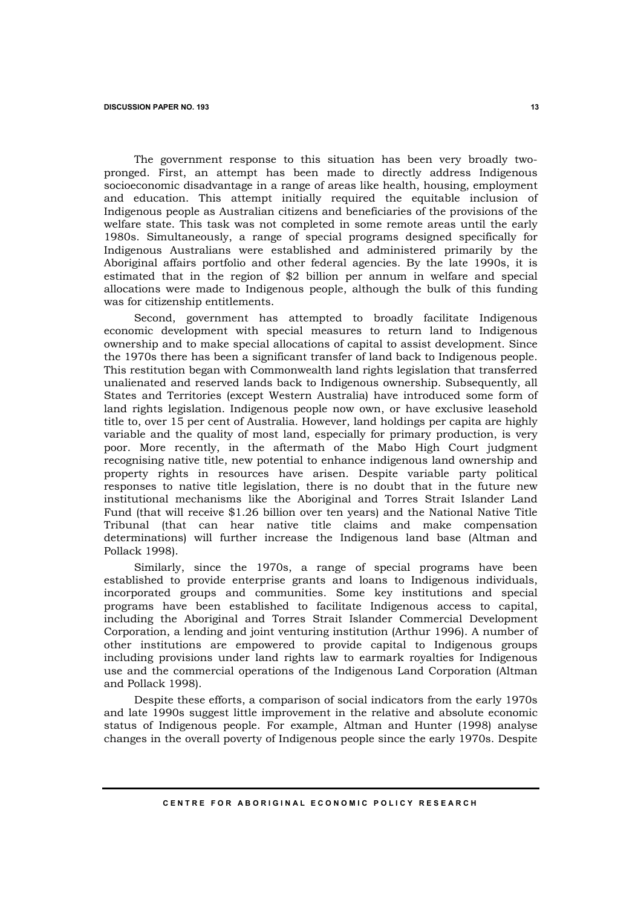The government response to this situation has been very broadly twopronged. First, an attempt has been made to directly address Indigenous socioeconomic disadvantage in a range of areas like health, housing, employment and education. This attempt initially required the equitable inclusion of Indigenous people as Australian citizens and beneficiaries of the provisions of the welfare state. This task was not completed in some remote areas until the early 1980s. Simultaneously, a range of special programs designed specifically for Indigenous Australians were established and administered primarily by the Aboriginal affairs portfolio and other federal agencies. By the late 1990s, it is estimated that in the region of \$2 billion per annum in welfare and special allocations were made to Indigenous people, although the bulk of this funding was for citizenship entitlements.

Second, government has attempted to broadly facilitate Indigenous economic development with special measures to return land to Indigenous ownership and to make special allocations of capital to assist development. Since the 1970s there has been a significant transfer of land back to Indigenous people. This restitution began with Commonwealth land rights legislation that transferred unalienated and reserved lands back to Indigenous ownership. Subsequently, all States and Territories (except Western Australia) have introduced some form of land rights legislation. Indigenous people now own, or have exclusive leasehold title to, over 15 per cent of Australia. However, land holdings per capita are highly variable and the quality of most land, especially for primary production, is very poor. More recently, in the aftermath of the Mabo High Court judgment recognising native title, new potential to enhance indigenous land ownership and property rights in resources have arisen. Despite variable party political responses to native title legislation, there is no doubt that in the future new institutional mechanisms like the Aboriginal and Torres Strait Islander Land Fund (that will receive \$1.26 billion over ten years) and the National Native Title Tribunal (that can hear native title claims and make compensation determinations) will further increase the Indigenous land base (Altman and Pollack 1998).

Similarly, since the 1970s, a range of special programs have been established to provide enterprise grants and loans to Indigenous individuals, incorporated groups and communities. Some key institutions and special programs have been established to facilitate Indigenous access to capital, including the Aboriginal and Torres Strait Islander Commercial Development Corporation, a lending and joint venturing institution (Arthur 1996). A number of other institutions are empowered to provide capital to Indigenous groups including provisions under land rights law to earmark royalties for Indigenous use and the commercial operations of the Indigenous Land Corporation (Altman and Pollack 1998).

Despite these efforts, a comparison of social indicators from the early 1970s and late 1990s suggest little improvement in the relative and absolute economic status of Indigenous people. For example, Altman and Hunter (1998) analyse changes in the overall poverty of Indigenous people since the early 1970s. Despite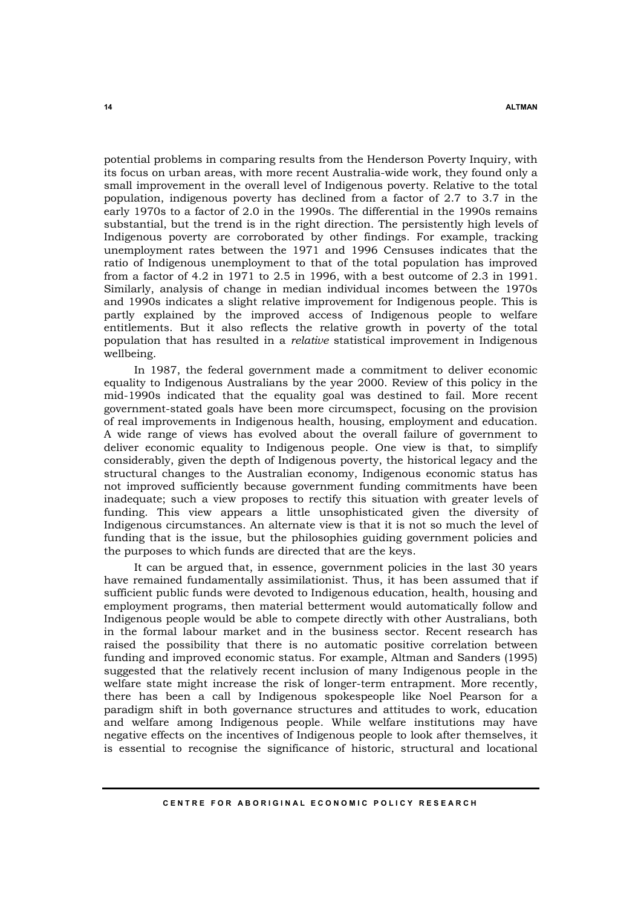potential problems in comparing results from the Henderson Poverty Inquiry, with its focus on urban areas, with more recent Australia-wide work, they found only a small improvement in the overall level of Indigenous poverty. Relative to the total population, indigenous poverty has declined from a factor of 2.7 to 3.7 in the early 1970s to a factor of 2.0 in the 1990s. The differential in the 1990s remains substantial, but the trend is in the right direction. The persistently high levels of Indigenous poverty are corroborated by other findings. For example, tracking unemployment rates between the 1971 and 1996 Censuses indicates that the ratio of Indigenous unemployment to that of the total population has improved from a factor of 4.2 in 1971 to 2.5 in 1996, with a best outcome of 2.3 in 1991. Similarly, analysis of change in median individual incomes between the 1970s and 1990s indicates a slight relative improvement for Indigenous people. This is partly explained by the improved access of Indigenous people to welfare entitlements. But it also reflects the relative growth in poverty of the total population that has resulted in a *relative* statistical improvement in Indigenous wellbeing.

In 1987, the federal government made a commitment to deliver economic equality to Indigenous Australians by the year 2000. Review of this policy in the mid-1990s indicated that the equality goal was destined to fail. More recent government-stated goals have been more circumspect, focusing on the provision of real improvements in Indigenous health, housing, employment and education. A wide range of views has evolved about the overall failure of government to deliver economic equality to Indigenous people. One view is that, to simplify considerably, given the depth of Indigenous poverty, the historical legacy and the structural changes to the Australian economy, Indigenous economic status has not improved sufficiently because government funding commitments have been inadequate; such a view proposes to rectify this situation with greater levels of funding. This view appears a little unsophisticated given the diversity of Indigenous circumstances. An alternate view is that it is not so much the level of funding that is the issue, but the philosophies guiding government policies and the purposes to which funds are directed that are the keys.

It can be argued that, in essence, government policies in the last 30 years have remained fundamentally assimilationist. Thus, it has been assumed that if sufficient public funds were devoted to Indigenous education, health, housing and employment programs, then material betterment would automatically follow and Indigenous people would be able to compete directly with other Australians, both in the formal labour market and in the business sector. Recent research has raised the possibility that there is no automatic positive correlation between funding and improved economic status. For example, Altman and Sanders (1995) suggested that the relatively recent inclusion of many Indigenous people in the welfare state might increase the risk of longer-term entrapment. More recently, there has been a call by Indigenous spokespeople like Noel Pearson for a paradigm shift in both governance structures and attitudes to work, education and welfare among Indigenous people. While welfare institutions may have negative effects on the incentives of Indigenous people to look after themselves, it is essential to recognise the significance of historic, structural and locational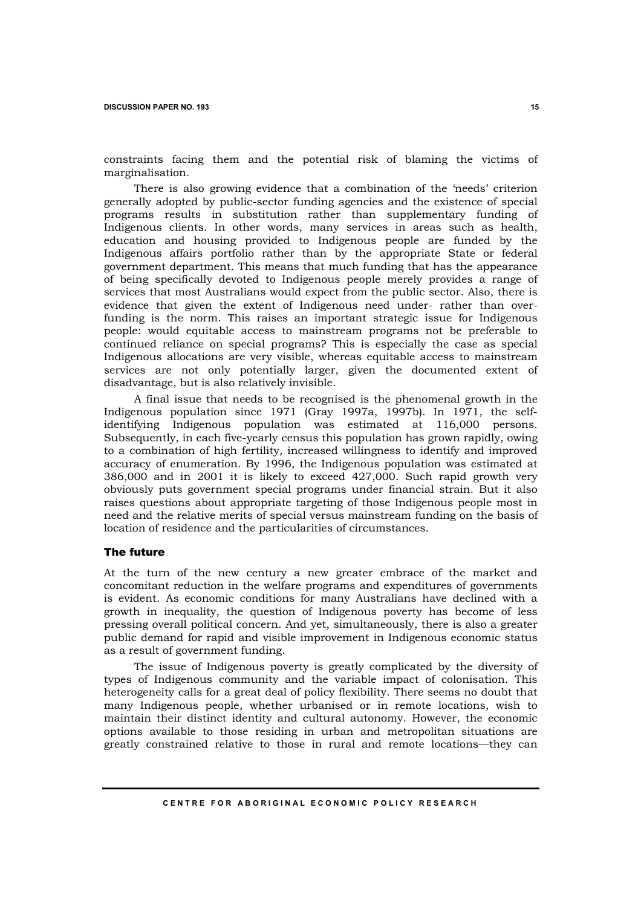constraints facing them and the potential risk of blaming the victims of marginalisation.

There is also growing evidence that a combination of the 'needs' criterion generally adopted by public-sector funding agencies and the existence of special programs results in substitution rather than supplementary funding of Indigenous clients. In other words, many services in areas such as health, education and housing provided to Indigenous people are funded by the Indigenous affairs portfolio rather than by the appropriate State or federal government department. This means that much funding that has the appearance of being specifically devoted to Indigenous people merely provides a range of services that most Australians would expect from the public sector. Also, there is evidence that given the extent of Indigenous need under- rather than overfunding is the norm. This raises an important strategic issue for Indigenous people: would equitable access to mainstream programs not be preferable to continued reliance on special programs? This is especially the case as special Indigenous allocations are very visible, whereas equitable access to mainstream services are not only potentially larger, given the documented extent of disadvantage, but is also relatively invisible.

A final issue that needs to be recognised is the phenomenal growth in the Indigenous population since 1971 (Gray 1997a, 1997b). In 1971, the selfidentifying Indigenous population was estimated at 116,000 persons. Subsequently, in each five-yearly census this population has grown rapidly, owing to a combination of high fertility, increased willingness to identify and improved accuracy of enumeration. By 1996, the Indigenous population was estimated at 386,000 and in 2001 it is likely to exceed 427,000. Such rapid growth very obviously puts government special programs under financial strain. But it also raises questions about appropriate targeting of those Indigenous people most in need and the relative merits of special versus mainstream funding on the basis of location of residence and the particularities of circumstances.

### The future

At the turn of the new century a new greater embrace of the market and concomitant reduction in the welfare programs and expenditures of governments is evident. As economic conditions for many Australians have declined with a growth in inequality, the question of Indigenous poverty has become of less pressing overall political concern. And yet, simultaneously, there is also a greater public demand for rapid and visible improvement in Indigenous economic status as a result of government funding.

The issue of Indigenous poverty is greatly complicated by the diversity of types of Indigenous community and the variable impact of colonisation. This heterogeneity calls for a great deal of policy flexibility. There seems no doubt that many Indigenous people, whether urbanised or in remote locations, wish to maintain their distinct identity and cultural autonomy. However, the economic options available to those residing in urban and metropolitan situations are greatly constrained relative to those in rural and remote locations—they can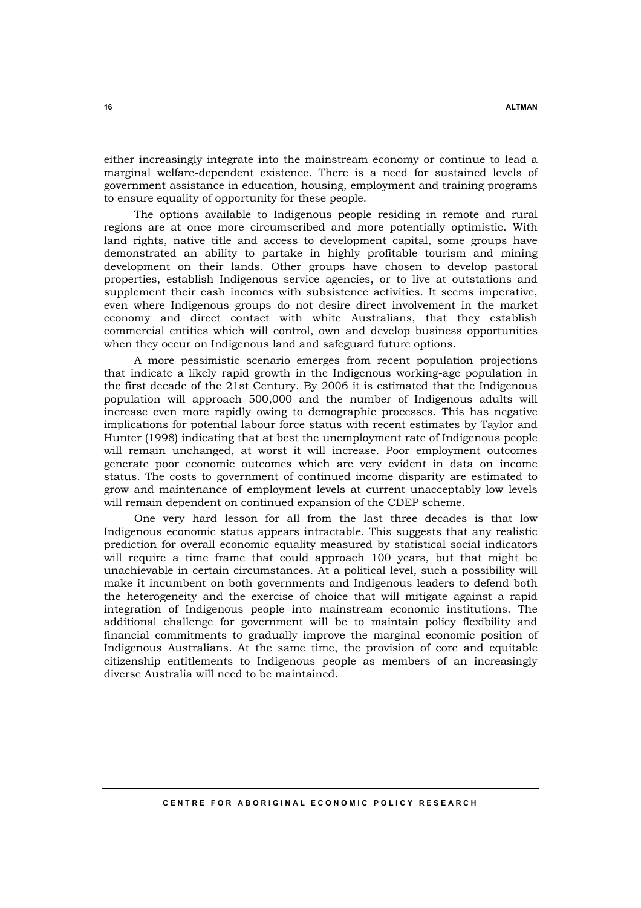either increasingly integrate into the mainstream economy or continue to lead a marginal welfare-dependent existence. There is a need for sustained levels of government assistance in education, housing, employment and training programs to ensure equality of opportunity for these people.

The options available to Indigenous people residing in remote and rural regions are at once more circumscribed and more potentially optimistic. With land rights, native title and access to development capital, some groups have demonstrated an ability to partake in highly profitable tourism and mining development on their lands. Other groups have chosen to develop pastoral properties, establish Indigenous service agencies, or to live at outstations and supplement their cash incomes with subsistence activities. It seems imperative, even where Indigenous groups do not desire direct involvement in the market economy and direct contact with white Australians, that they establish commercial entities which will control, own and develop business opportunities when they occur on Indigenous land and safeguard future options.

A more pessimistic scenario emerges from recent population projections that indicate a likely rapid growth in the Indigenous working-age population in the first decade of the 21st Century. By 2006 it is estimated that the Indigenous population will approach 500,000 and the number of Indigenous adults will increase even more rapidly owing to demographic processes. This has negative implications for potential labour force status with recent estimates by Taylor and Hunter (1998) indicating that at best the unemployment rate of Indigenous people will remain unchanged, at worst it will increase. Poor employment outcomes generate poor economic outcomes which are very evident in data on income status. The costs to government of continued income disparity are estimated to grow and maintenance of employment levels at current unacceptably low levels will remain dependent on continued expansion of the CDEP scheme.

One very hard lesson for all from the last three decades is that low Indigenous economic status appears intractable. This suggests that any realistic prediction for overall economic equality measured by statistical social indicators will require a time frame that could approach 100 years, but that might be unachievable in certain circumstances. At a political level, such a possibility will make it incumbent on both governments and Indigenous leaders to defend both the heterogeneity and the exercise of choice that will mitigate against a rapid integration of Indigenous people into mainstream economic institutions. The additional challenge for government will be to maintain policy flexibility and financial commitments to gradually improve the marginal economic position of Indigenous Australians. At the same time, the provision of core and equitable citizenship entitlements to Indigenous people as members of an increasingly diverse Australia will need to be maintained.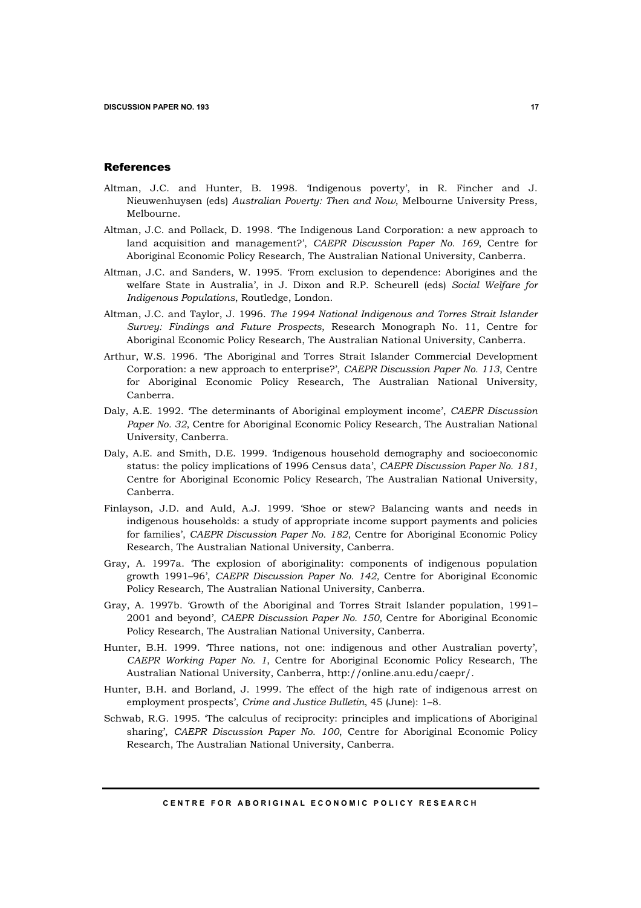### References

- Altman, J.C. and Hunter, B. 1998. 'Indigenous poverty', in R. Fincher and J. Nieuwenhuysen (eds) *Australian Poverty: Then and Now*, Melbourne University Press, Melbourne.
- Altman, J.C. and Pollack, D. 1998. 'The Indigenous Land Corporation: a new approach to land acquisition and management?', *CAEPR Discussion Paper No. 169*, Centre for Aboriginal Economic Policy Research, The Australian National University, Canberra.
- Altman, J.C. and Sanders, W. 1995. 'From exclusion to dependence: Aborigines and the welfare State in Australia', in J. Dixon and R.P. Scheurell (eds) *Social Welfare for Indigenous Populations*, Routledge, London.
- Altman, J.C. and Taylor, J. 1996. *The 1994 National Indigenous and Torres Strait Islander Survey: Findings and Future Prospects*, Research Monograph No. 11, Centre for Aboriginal Economic Policy Research, The Australian National University, Canberra.
- Arthur, W.S. 1996. 'The Aboriginal and Torres Strait Islander Commercial Development Corporation: a new approach to enterprise?', *CAEPR Discussion Paper No. 113*, Centre for Aboriginal Economic Policy Research, The Australian National University, Canberra.
- Daly, A.E. 1992. 'The determinants of Aboriginal employment income', *CAEPR Discussion Paper No. 32*, Centre for Aboriginal Economic Policy Research, The Australian National University, Canberra.
- Daly, A.E. and Smith, D.E. 1999. 'Indigenous household demography and socioeconomic status: the policy implications of 1996 Census data', *CAEPR Discussion Paper No. 181*, Centre for Aboriginal Economic Policy Research, The Australian National University, Canberra.
- Finlayson, J.D. and Auld, A.J. 1999. 'Shoe or stew? Balancing wants and needs in indigenous households: a study of appropriate income support payments and policies for families', *CAEPR Discussion Paper No. 182*, Centre for Aboriginal Economic Policy Research, The Australian National University, Canberra.
- Gray, A. 1997a. 'The explosion of aboriginality: components of indigenous population growth 1991–96', *CAEPR Discussion Paper No. 142,* Centre for Aboriginal Economic Policy Research, The Australian National University, Canberra.
- Gray, A. 1997b. 'Growth of the Aboriginal and Torres Strait Islander population, 1991– 2001 and beyond', *CAEPR Discussion Paper No. 150,* Centre for Aboriginal Economic Policy Research, The Australian National University, Canberra.
- Hunter, B.H. 1999. 'Three nations, not one: indigenous and other Australian poverty', *CAEPR Working Paper No. 1*, Centre for Aboriginal Economic Policy Research, The Australian National University, Canberra, http://online.anu.edu/caepr/.
- Hunter, B.H. and Borland, J. 1999. The effect of the high rate of indigenous arrest on employment prospects', *Crime and Justice Bulletin*, 45 (June): 1–8.
- Schwab, R.G. 1995. 'The calculus of reciprocity: principles and implications of Aboriginal sharing', *CAEPR Discussion Paper No. 100*, Centre for Aboriginal Economic Policy Research, The Australian National University, Canberra.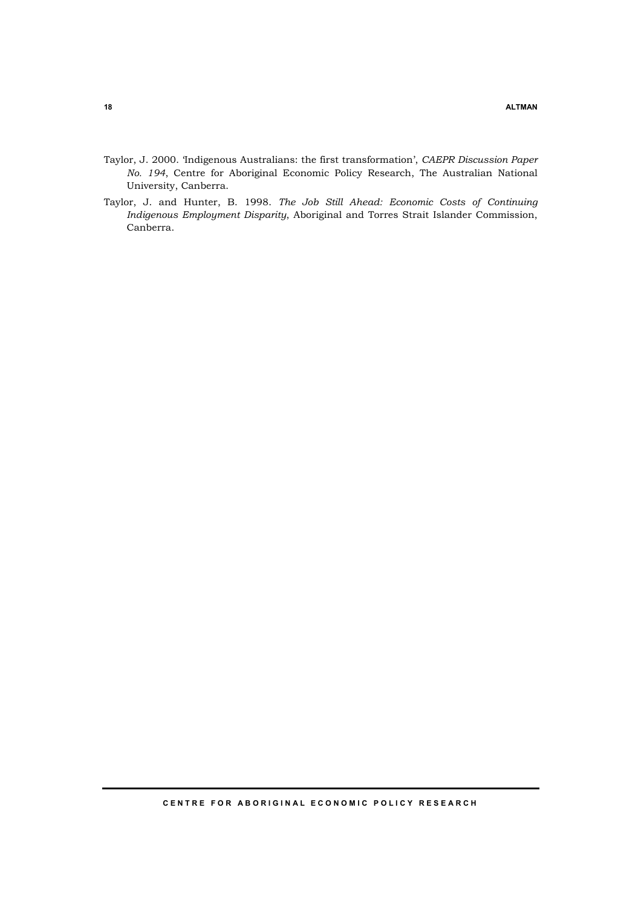- Taylor, J. 2000. 'Indigenous Australians: the first transformation', *CAEPR Discussion Paper No. 194*, Centre for Aboriginal Economic Policy Research, The Australian National University, Canberra.
- Taylor, J. and Hunter, B. 1998. *The Job Still Ahead: Economic Costs of Continuing Indigenous Employment Disparity*, Aboriginal and Torres Strait Islander Commission, Canberra.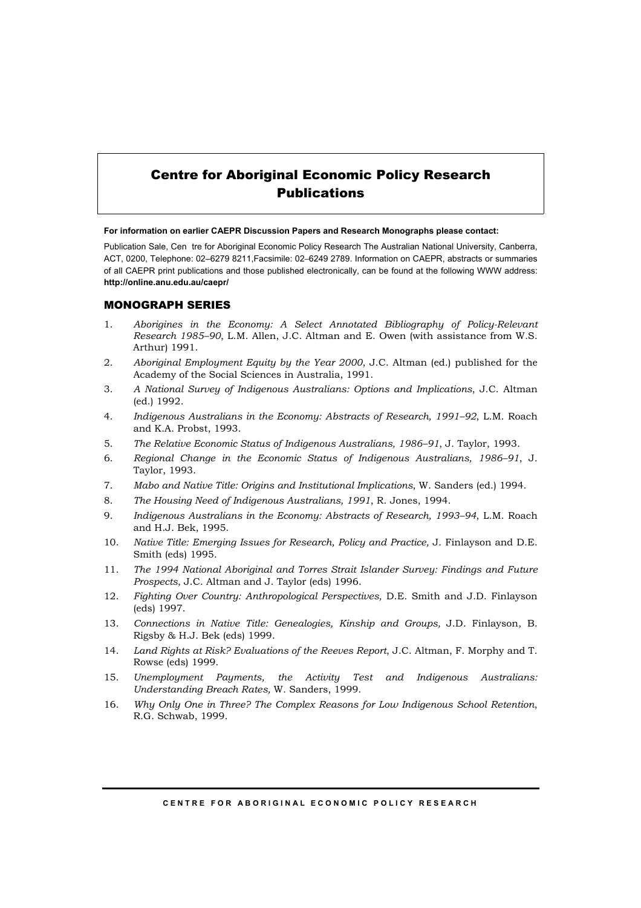# Centre for Aboriginal Economic Policy Research Publications

**For information on earlier CAEPR Discussion Papers and Research Monographs please contact:** 

Publication Sale, Cen tre for Aboriginal Economic Policy Research The Australian National University, Canberra, ACT, 0200, Telephone: 02–6279 8211,Facsimile: 02–6249 2789. Information on CAEPR, abstracts or summaries of all CAEPR print publications and those published electronically, can be found at the following WWW address: **http://online.anu.edu.au/caepr/** 

### MONOGRAPH SERIES

- 1. *Aborigines in the Economy: A Select Annotated Bibliography of Policy-Relevant Research 1985–90*, L.M. Allen, J.C. Altman and E. Owen (with assistance from W.S. Arthur) 1991.
- 2. *Aboriginal Employment Equity by the Year 2000*, J.C. Altman (ed.) published for the Academy of the Social Sciences in Australia, 1991.
- 3. *A National Survey of Indigenous Australians: Options and Implications*, J.C. Altman (ed.) 1992.
- 4. *Indigenous Australians in the Economy: Abstracts of Research, 1991–92*, L.M. Roach and K.A. Probst, 1993.
- 5. *The Relative Economic Status of Indigenous Australians, 1986–91*, J. Taylor, 1993.
- 6. *Regional Change in the Economic Status of Indigenous Australians, 1986–91*, J. Taylor, 1993.
- 7. *Mabo and Native Title: Origins and Institutional Implications*, W. Sanders (ed.) 1994.
- 8. *The Housing Need of Indigenous Australians, 1991*, R. Jones, 1994.
- 9. *Indigenous Australians in the Economy: Abstracts of Research, 1993–94*, L.M. Roach and H.J. Bek, 1995.
- 10. *Native Title: Emerging Issues for Research, Policy and Practice,* J. Finlayson and D.E. Smith (eds) 1995.
- 11. *The 1994 National Aboriginal and Torres Strait Islander Survey: Findings and Future Prospects*, J.C. Altman and J. Taylor (eds) 1996.
- 12. *Fighting Over Country: Anthropological Perspectives,* D.E. Smith and J.D. Finlayson (eds) 1997.
- 13. *Connections in Native Title: Genealogies, Kinship and Groups,* J.D. Finlayson, B. Rigsby & H.J. Bek (eds) 1999.
- 14. *Land Rights at Risk? Evaluations of the Reeves Report*, J.C. Altman, F. Morphy and T. Rowse (eds) 1999.
- 15. *Unemployment Payments, the Activity Test and Indigenous Australians: Understanding Breach Rates,* W. Sanders, 1999.
- 16. *Why Only One in Three? The Complex Reasons for Low Indigenous School Retention*, R.G. Schwab, 1999.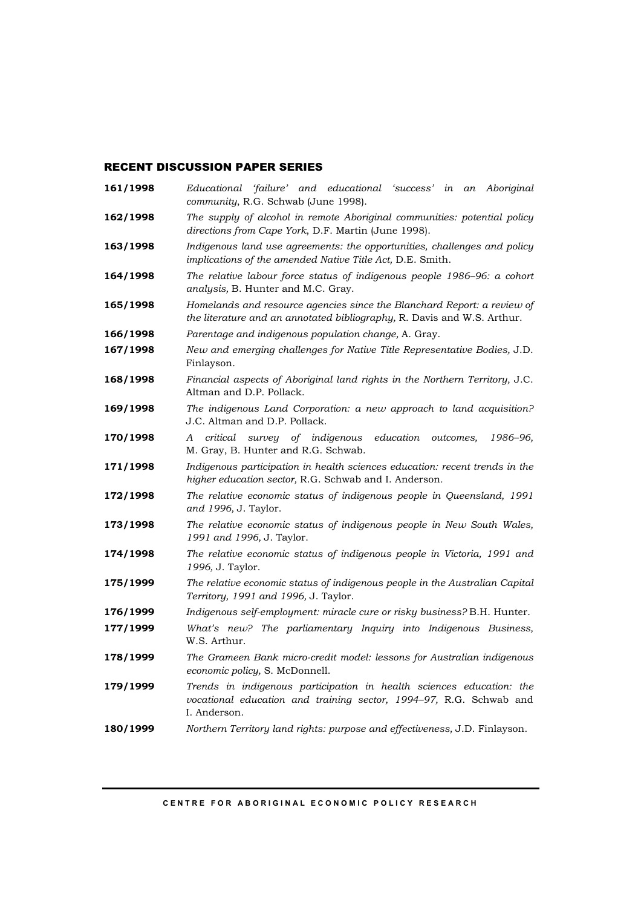# RECENT DISCUSSION PAPER SERIES

| 161/1998 | Educational<br>'failure' and educational 'success' in<br>an Aboriginal<br>community, R.G. Schwab (June 1998).                                              |
|----------|------------------------------------------------------------------------------------------------------------------------------------------------------------|
| 162/1998 | The supply of alcohol in remote Aboriginal communities: potential policy<br>directions from Cape York, D.F. Martin (June 1998).                            |
| 163/1998 | Indigenous land use agreements: the opportunities, challenges and policy<br>implications of the amended Native Title Act, D.E. Smith.                      |
| 164/1998 | The relative labour force status of indigenous people 1986-96: a cohort<br>analysis, B. Hunter and M.C. Gray.                                              |
| 165/1998 | Homelands and resource agencies since the Blanchard Report: a review of<br>the literature and an annotated bibliography, R. Davis and W.S. Arthur.         |
| 166/1998 | Parentage and indigenous population change, A. Gray.                                                                                                       |
| 167/1998 | New and emerging challenges for Native Title Representative Bodies, J.D.<br>Finlayson.                                                                     |
| 168/1998 | Financial aspects of Aboriginal land rights in the Northern Territory, J.C.<br>Altman and D.P. Pollack.                                                    |
| 169/1998 | The indigenous Land Corporation: a new approach to land acquisition?<br>J.C. Altman and D.P. Pollack.                                                      |
| 170/1998 | critical<br>survey of indigenous<br>education<br>1986–96,<br>outcomes,<br>A<br>M. Gray, B. Hunter and R.G. Schwab.                                         |
| 171/1998 | Indigenous participation in health sciences education: recent trends in the<br>higher education sector, R.G. Schwab and I. Anderson.                       |
| 172/1998 | The relative economic status of indigenous people in Queensland, 1991<br>and 1996, J. Taylor.                                                              |
| 173/1998 | The relative economic status of indigenous people in New South Wales,<br>1991 and 1996, J. Taylor.                                                         |
| 174/1998 | The relative economic status of indigenous people in Victoria, 1991 and<br>1996, J. Taylor.                                                                |
| 175/1999 | The relative economic status of indigenous people in the Australian Capital<br>Territory, 1991 and 1996, J. Taylor.                                        |
| 176/1999 | Indigenous self-employment: miracle cure or risky business? B.H. Hunter.                                                                                   |
| 177/1999 | What's new? The parliamentary Inquiry into Indigenous Business,<br>W.S. Arthur.                                                                            |
| 178/1999 | The Grameen Bank micro-credit model: lessons for Australian indigenous<br>economic policy, S. McDonnell.                                                   |
| 179/1999 | Trends in indigenous participation in health sciences education: the<br>vocational education and training sector, 1994-97, R.G. Schwab and<br>I. Anderson. |
| 180/1999 | Northern Territory land rights: purpose and effectiveness, J.D. Finlayson.                                                                                 |

**CENTRE FOR ABORIGINAL ECONOMIC POLICY RESEARCH**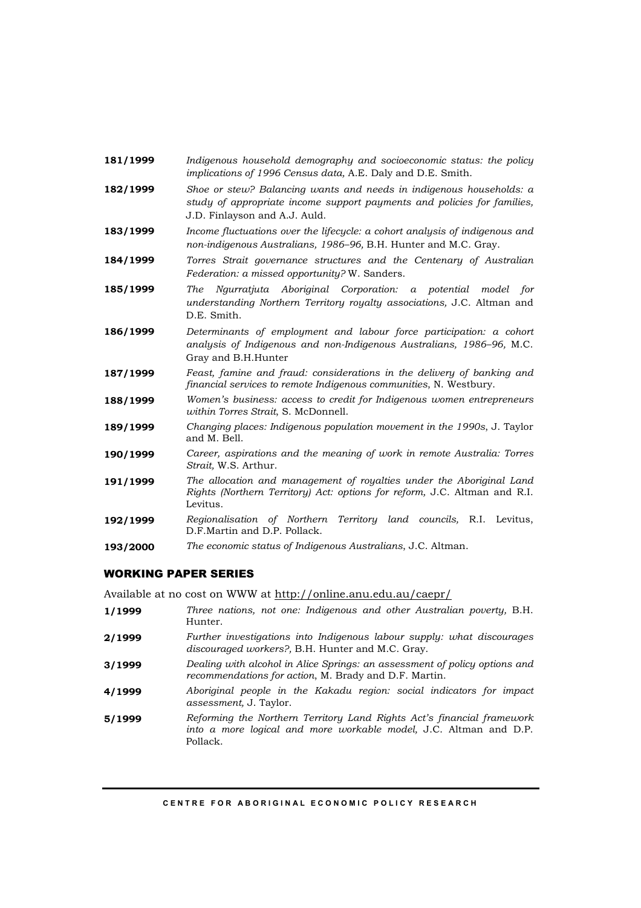- **181/1999** *Indigenous household demography and socioeconomic status: the policy implications of 1996 Census data,* A.E. Daly and D.E. Smith.
- **182/1999** *Shoe or stew? Balancing wants and needs in indigenous households: a study of appropriate income support payments and policies for families,*  J.D. Finlayson and A.J. Auld.
- **183/1999** *Income fluctuations over the lifecycle: a cohort analysis of indigenous and non-indigenous Australians, 1986–96,* B.H. Hunter and M.C. Gray.
- **184/1999** *Torres Strait governance structures and the Centenary of Australian Federation: a missed opportunity?* W. Sanders.
- **185/1999** *The Ngurratjuta Aboriginal Corporation: a potential model for understanding Northern Territory royalty associations,* J.C. Altman and D.E. Smith.
- **186/1999** *Determinants of employment and labour force participation: a cohort analysis of Indigenous and non-Indigenous Australians, 1986–96,* M.C. Gray and B.H.Hunter
- **187/1999** *Feast, famine and fraud: considerations in the delivery of banking and financial services to remote Indigenous communities*, N. Westbury.
- **188/1999** *Women's business: access to credit for Indigenous women entrepreneurs within Torres Strait*, S. McDonnell.
- **189/1999** *Changing places: Indigenous population movement in the 1990s*, J. Taylor and M. Bell.
- **190/1999** *Career, aspirations and the meaning of work in remote Australia: Torres Strait,* W.S. Arthur.
- **191/1999** *The allocation and management of royalties under the Aboriginal Land Rights (Northern Territory) Act: options for reform,* J.C. Altman and R.I. Levitus.
- **192/1999** *Regionalisation of Northern Territory land councils,* R.I. Levitus, D.F.Martin and D.P. Pollack.
- **193/2000** *The economic status of Indigenous Australians*, J.C. Altman.

## WORKING PAPER SERIES

Available at no cost on WWW at http://online.anu.edu.au/caepr/

- **1/1999** *Three nations, not one: Indigenous and other Australian poverty,* B.H. Hunter.
- **2/1999** *Further investigations into Indigenous labour supply: what discourages discouraged workers?,* B.H. Hunter and M.C. Gray.
- **3/1999** *Dealing with alcohol in Alice Springs: an assessment of policy options and recommendations for action*, M. Brady and D.F. Martin.
- **4/1999** *Aboriginal people in the Kakadu region: social indicators for impact assessment,* J. Taylor.
- **5/1999** *Reforming the Northern Territory Land Rights Act's financial framework into a more logical and more workable model,* J.C. Altman and D.P. Pollack.